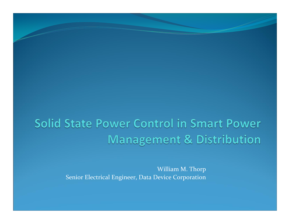#### Solid State Power Control in Smart Power **Management & Distribution**

William M. Thorp Senior Electrical Engineer, Data Device Corporation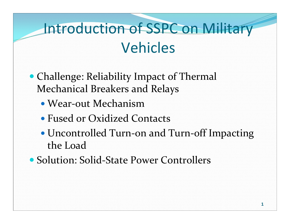# Introduction of SSPC on Military Vehicles

- Challenge: Reliability Impact of Thermal Mechanical Breakers and Relays
	- Wear‐out Mechanism
	- Fused or Oxidized Contacts
	- Uncontrolled Turn‐on and Turn‐off Impacting the Load
- Solution: Solid-State Power Controllers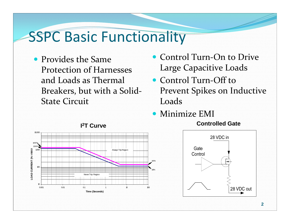#### SSPC Basic Functionality

- Provides the Same Protection of Harnesses and Loads as Thermal Breakers, but with <sup>a</sup> Solid‐ State Circuit
- Control Turn-On to Drive Large Capacitive Loads
- Control Turn-Off to Prevent Spikes on Inductive Loads
- Minimize EMI



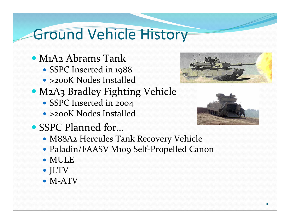# Ground Vehicle History

- M1A2 Abrams Tank
	- SSPC Inserted in 1988
	- >200K Nodes Installed
- M2A3 Bradley Fighting Vehicle
	- SSPC Inserted in 2004
	- >200K Nodes Installed
- SSPC Planned for...





- M88A2 Hercules Tank Recovery Vehicle
- Paladin/FAASV M109 Self‐Propelled Canon
- MULE
- JLTV
- $\bullet$  M-ATV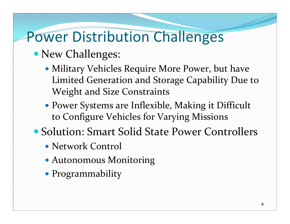# Power Distribution Challenges

#### New Challenges:

- Military Vehicles Require More Power, but have Limited Generation and Storage Capability Due to Weight and Size Constraints
- Power Systems are Inflexible, Making it Difficult to Configure Vehicles for Varying Missions
- Solution: Smart Solid State Power Controllers
	- Network Control
	- Autonomous Monitoring
	- Programmability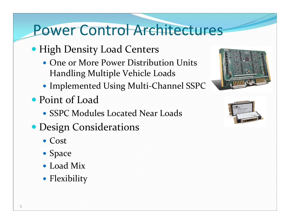#### Power Control Architectures

- **High Density Load Centers** 
	- One or More Power Distribution Units Handling Multiple Vehicle Loads
	- Implemented Using Multi‐Channel SSPC
- Point of Load
	- SSPC Modules Located Near Loads
- Design Considerations
	- Cost
	- Space
	- Load Mix
	- Flexibility



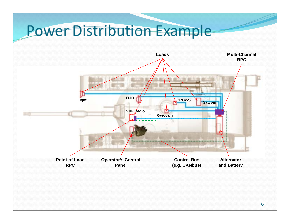#### **Power Distribution Example**

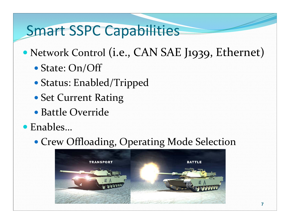### Smart SSPC Capabilities

- $\bullet$  Network Control (i.e., CAN SAE J1939, Ethernet)
	- State: On/Off
	- Status: Enabled/Tripped
	- Set Current Rating
	- Battle Override
- Enables…

#### Crew Offloading, Operating Mode Selection

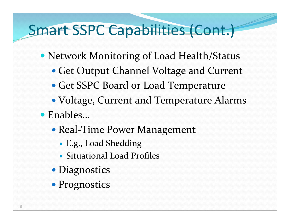## Smart SSPC Capabilities (Cont.)

- Network Monitoring of Load Health/Status
	- Get Output Channel Voltage and Current
	- Get SSPC Board or Load Temperature
	- Voltage, Current and Temperature Alarms
- Enables…
	- Real‐Time Power Management
		- 0 E.g., Load Shedding
		- Situational Load Profiles
	- Diagnostics
	- Prognostics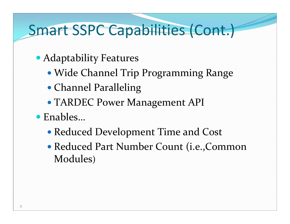### Smart SSPC Capabilities (Cont.)

- Adaptability Features
	- Wide Channel Trip Programming Range
	- Channel Paralleling
	- TARDEC Power Management API
- Enables…
	- Reduced Development Time and Cost
	- Reduced Part Number Count (i.e.,Common Modules)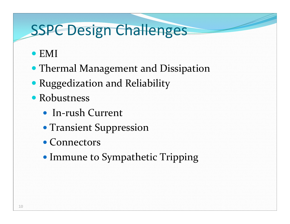# SSPC Design Challenges

- EMI
- Thermal Management and Dissipation
- Ruggedization and Reliability
- Robustness
	- In-rush Current
	- Transient Suppression
	- Connectors
	- Immune to Sympathetic Tripping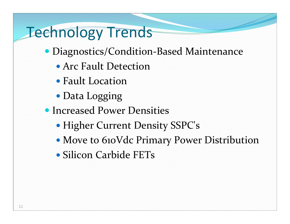# Technology Trends

- Diagnostics/Condition-Based Maintenance
	- Arc Fault Detection
	- Fault Location
	- Data Logging
- **Increased Power Densities** 
	- Higher Current Density SSPC's
	- Move to 610Vdc Primary Power Distribution
	- Silicon Carbide FETs